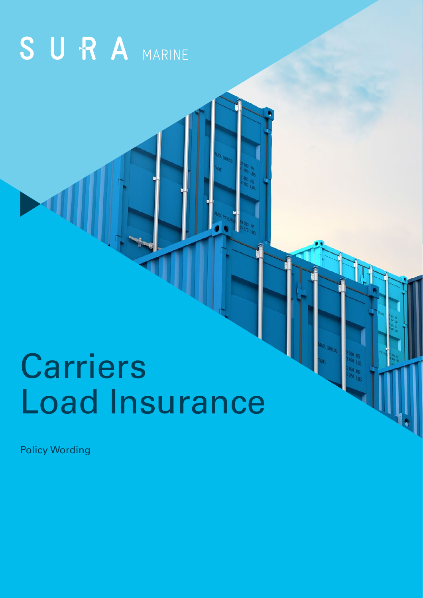# SURA MARINE

# Carriers Load Insurance

Policy Wording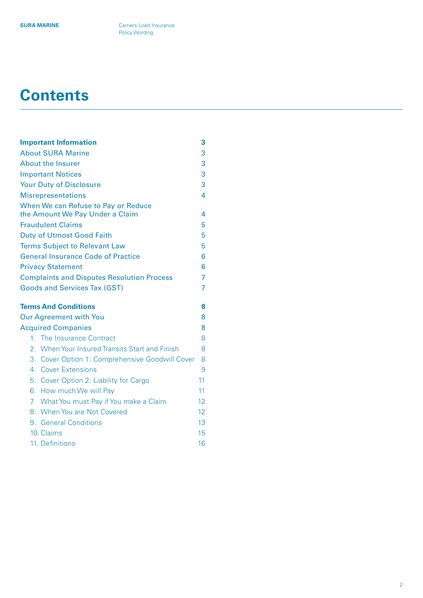# **Contents**

| <b>Important Information</b>                              | 3  |
|-----------------------------------------------------------|----|
| <b>About SURA Marine</b>                                  | 3  |
| <b>About the Insurer</b>                                  | 3  |
| <b>Important Notices</b>                                  | 3  |
| <b>Your Duty of Disclosure</b>                            | 3  |
| <b>Misrepresentations</b>                                 | 4  |
| When We can Refuse to Pay or Reduce                       |    |
| the Amount We Pay Under a Claim                           | 4  |
| <b>Fraudulent Claims</b>                                  | 5  |
| <b>Duty of Utmost Good Faith</b>                          | 5  |
| <b>Terms Subject to Relevant Law</b>                      | 5  |
| <b>General Insurance Code of Practice</b>                 | 6  |
| <b>Privacy Statement</b>                                  | 6  |
| <b>Complaints and Disputes Resolution Process</b>         | 7  |
| <b>Goods and Services Tax (GST)</b>                       | 7  |
| <b>Terms And Conditions</b>                               | 8  |
| <b>Our Agreement with You</b>                             | 8  |
| <b>Acquired Companies</b>                                 | 8  |
| The Insurance Contract<br>1.                              | 8  |
| 2. When Your Insured Transits Start and Finish            | 8  |
| 3.<br><b>Cover Option 1: Comprehensive Goodwill Cover</b> | 8  |
| 4. Cover Extensions                                       | 9  |
| 5. Cover Option 2: Liability for Cargo                    | 11 |
| How much We will Pay<br>6.                                | 11 |
| 7.<br>What You must Pay if You make a Claim               | 12 |
| 8. When You are Not Covered                               | 12 |
| 9. General Conditions                                     | 13 |
| 10. Claims                                                | 15 |
| 11. Definitions                                           | 16 |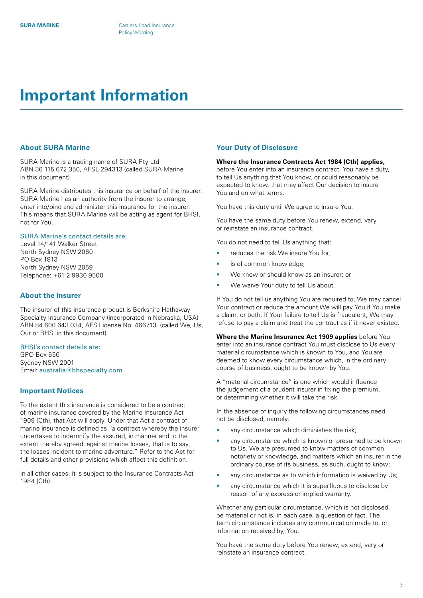# <span id="page-2-0"></span>**Important Information**

#### **About SURA Marine**

SURA Marine is a trading name of SURA Pty Ltd ABN 36 115 672 350, AFSL 294313 (called SURA Marine in this document).

SURA Marine distributes this insurance on behalf of the insurer. SURA Marine has an authority from the insurer to arrange, enter into/bind and administer this insurance for the insurer. This means that SURA Marine will be acting as agent for BHSI, not for You.

# SURA Marine's contact details are:

Level 14/141 Walker Street North Sydney NSW 2060 PO Box 1813 North Sydney NSW 2059 Telephone: +61 2 9930 9500

# **About the Insurer**

The insurer of this insurance product is Berkshire Hathaway Specialty Insurance Company (incorporated in Nebraska, USA) ABN 84 600 643 034, AFS License No. 466713. (called We, Us, Our or BHSI in this document).

BHSI's contact details are: GPO Box 650 Sydney NSW 2001

Email: [australia@bhspecialty.com](mailto:australia%40bhspecialty.com?subject=)

#### **Important Notices**

To the extent this insurance is considered to be a contract of marine insurance covered by the Marine Insurance Act 1909 (Cth), that Act will apply. Under that Act a contract of marine insurance is defined as "a contract whereby the insurer undertakes to indemnify the assured, in manner and to the extent thereby agreed, against marine losses, that is to say, the losses incident to marine adventure." Refer to the Act for full details and other provisions which affect this definition.

In all other cases, it is subject to the Insurance Contracts Act 1984 (Cth).

# **Your Duty of Disclosure**

# **Where the Insurance Contracts Act 1984 (Cth) applies,**

before You enter into an insurance contract, You have a duty, to tell Us anything that You know, or could reasonably be expected to know, that may affect Our decision to insure You and on what terms.

You have this duty until We agree to insure You.

You have the same duty before You renew, extend, vary or reinstate an insurance contract.

You do not need to tell Us anything that:

- reduces the risk We insure You for:
- is of common knowledge;
- We know or should know as an insurer; or
- We waive Your duty to tell Us about.

If You do not tell us anything You are required to, We may cancel Your contract or reduce the amount We will pay You if You make a claim, or both. If Your failure to tell Us is fraudulent, We may refuse to pay a claim and treat the contract as if it never existed.

**Where the Marine Insurance Act 1909 applies** before You enter into an insurance contract You must disclose to Us every material circumstance which is known to You, and You are deemed to know every circumstance which, in the ordinary course of business, ought to be known by You.

A "material circumstance" is one which would influence the judgement of a prudent insurer in fixing the premium, or determining whether it will take the risk.

In the absence of inquiry the following circumstances need not be disclosed, namely:

- any circumstance which diminishes the risk;
- any circumstance which is known or presumed to be known to Us. We are presumed to know matters of common notoriety or knowledge, and matters which an insurer in the ordinary course of its business, as such, ought to know;
- any circumstance as to which information is waived by Us;
- any circumstance which it is superfluous to disclose by reason of any express or implied warranty.

Whether any particular circumstance, which is not disclosed, be material or not is, in each case, a question of fact. The term circumstance includes any communication made to, or information received by, You.

You have the same duty before You renew, extend, vary or reinstate an insurance contract.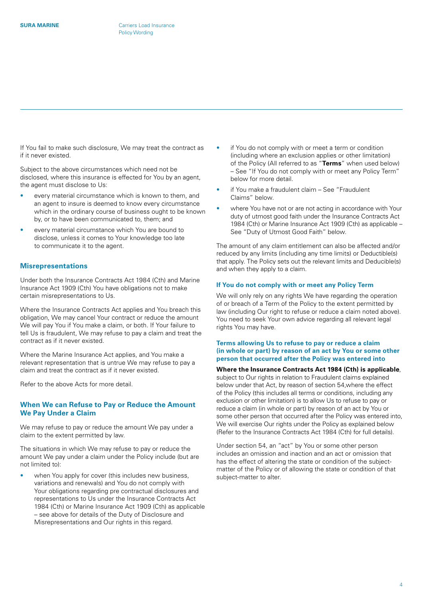<span id="page-3-0"></span>If You fail to make such disclosure, We may treat the contract as if it never existed.

Subject to the above circumstances which need not be disclosed, where this insurance is effected for You by an agent, the agent must disclose to Us:

- every material circumstance which is known to them, and an agent to insure is deemed to know every circumstance which in the ordinary course of business ought to be known by, or to have been communicated to, them; and
- every material circumstance which You are bound to disclose, unless it comes to Your knowledge too late to communicate it to the agent.

# **Misrepresentations**

Under both the Insurance Contracts Act 1984 (Cth) and Marine Insurance Act 1909 (Cth) You have obligations not to make certain misrepresentations to Us.

Where the Insurance Contracts Act applies and You breach this obligation, We may cancel Your contract or reduce the amount We will pay You if You make a claim, or both. If Your failure to tell Us is fraudulent, We may refuse to pay a claim and treat the contract as if it never existed.

Where the Marine Insurance Act applies, and You make a relevant representation that is untrue We may refuse to pay a claim and treat the contract as if it never existed.

Refer to the above Acts for more detail.

# **When We can Refuse to Pay or Reduce the Amount We Pay Under a Claim**

We may refuse to pay or reduce the amount We pay under a claim to the extent permitted by law.

The situations in which We may refuse to pay or reduce the amount We pay under a claim under the Policy include (but are not limited to):

when You apply for cover (this includes new business, variations and renewals) and You do not comply with Your obligations regarding pre contractual disclosures and representations to Us under the Insurance Contracts Act 1984 (Cth) or Marine Insurance Act 1909 (Cth) as applicable – see above for details of the Duty of Disclosure and Misrepresentations and Our rights in this regard.

- if You do not comply with or meet a term or condition (including where an exclusion applies or other limitation) of the Policy (All referred to as "**Terms**" when used below) – See "If You do not comply with or meet any Policy Term" below for more detail.
- if You make a fraudulent claim See "Fraudulent Claims" below.
- where You have not or are not acting in accordance with Your duty of utmost good faith under the Insurance Contracts Act 1984 (Cth) or Marine Insurance Act 1909 (Cth) as applicable – See "Duty of Utmost Good Faith" below.

The amount of any claim entitlement can also be affected and/or reduced by any limits (including any time limits) or Deductible(s) that apply. The Policy sets out the relevant limits and Deducible(s) and when they apply to a claim.

# **If You do not comply with or meet any Policy Term**

We will only rely on any rights We have regarding the operation of or breach of a Term of the Policy to the extent permitted by law (including Our right to refuse or reduce a claim noted above). You need to seek Your own advice regarding all relevant legal rights You may have.

# **Terms allowing Us to refuse to pay or reduce a claim (in whole or part) by reason of an act by You or some other person that occurred after the Policy was entered into**

# **Where the Insurance Contracts Act 1984 (Cth) is applicable**,

subject to Our rights in relation to Fraudulent claims explained below under that Act, by reason of section 54,where the effect of the Policy (this includes all terms or conditions, including any exclusion or other limitation) is to allow Us to refuse to pay or reduce a claim (in whole or part) by reason of an act by You or some other person that occurred after the Policy was entered into, We will exercise Our rights under the Policy as explained below (Refer to the Insurance Contracts Act 1984 (Cth) for full details).

Under section 54, an "act" by You or some other person includes an omission and inaction and an act or omission that has the effect of altering the state or condition of the subjectmatter of the Policy or of allowing the state or condition of that subject-matter to alter.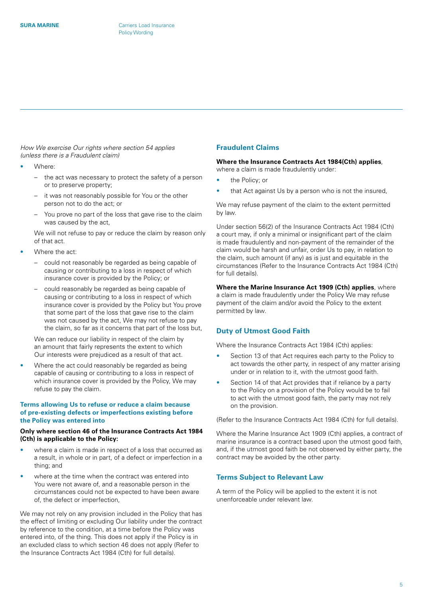<span id="page-4-0"></span>*How We exercise Our rights where section 54 applies (unless there is a Fraudulent claim)*

- Where:
	- the act was necessary to protect the safety of a person or to preserve property;
	- it was not reasonably possible for You or the other person not to do the act; or
	- You prove no part of the loss that gave rise to the claim was caused by the act,

We will not refuse to pay or reduce the claim by reason only of that act.

- Where the act:
	- could not reasonably be regarded as being capable of causing or contributing to a loss in respect of which insurance cover is provided by the Policy; or
	- could reasonably be regarded as being capable of causing or contributing to a loss in respect of which insurance cover is provided by the Policy but You prove that some part of the loss that gave rise to the claim was not caused by the act, We may not refuse to pay the claim, so far as it concerns that part of the loss but,

We can reduce our liability in respect of the claim by an amount that fairly represents the extent to which Our interests were prejudiced as a result of that act.

Where the act could reasonably be regarded as being capable of causing or contributing to a loss in respect of which insurance cover is provided by the Policy, We may refuse to pay the claim.

# **Terms allowing Us to refuse or reduce a claim because of pre-existing defects or imperfections existing before the Policy was entered into**

# **Only where section 46 of the Insurance Contracts Act 1984 (Cth) is applicable to the Policy:**

- where a claim is made in respect of a loss that occurred as a result, in whole or in part, of a defect or imperfection in a thing; and
- where at the time when the contract was entered into You were not aware of, and a reasonable person in the circumstances could not be expected to have been aware of, the defect or imperfection,

We may not rely on any provision included in the Policy that has the effect of limiting or excluding Our liability under the contract by reference to the condition, at a time before the Policy was entered into, of the thing. This does not apply if the Policy is in an excluded class to which section 46 does not apply (Refer to the Insurance Contracts Act 1984 (Cth) for full details).

# **Fraudulent Claims**

#### **Where the Insurance Contracts Act 1984(Cth) applies**, where a claim is made fraudulently under:

- the Policy; or
- that Act against Us by a person who is not the insured,

We may refuse payment of the claim to the extent permitted by law.

Under section 56(2) of the Insurance Contracts Act 1984 (Cth) a court may, if only a minimal or insignificant part of the claim is made fraudulently and non-payment of the remainder of the claim would be harsh and unfair, order Us to pay, in relation to the claim, such amount (if any) as is just and equitable in the circumstances (Refer to the Insurance Contracts Act 1984 (Cth) for full details).

**Where the Marine Insurance Act 1909 (Cth) applies**, where a claim is made fraudulently under the Policy We may refuse payment of the claim and/or avoid the Policy to the extent permitted by law.

# **Duty of Utmost Good Faith**

Where the Insurance Contracts Act 1984 (Cth) applies:

- Section 13 of that Act requires each party to the Policy to act towards the other party, in respect of any matter arising under or in relation to it, with the utmost good faith.
- Section 14 of that Act provides that if reliance by a party to the Policy on a provision of the Policy would be to fail to act with the utmost good faith, the party may not rely on the provision.

(Refer to the Insurance Contracts Act 1984 (Cth) for full details).

Where the Marine Insurance Act 1909 (Cth) applies, a contract of marine insurance is a contract based upon the utmost good faith, and, if the utmost good faith be not observed by either party, the contract may be avoided by the other party.

# **Terms Subject to Relevant Law**

A term of the Policy will be applied to the extent it is not unenforceable under relevant law.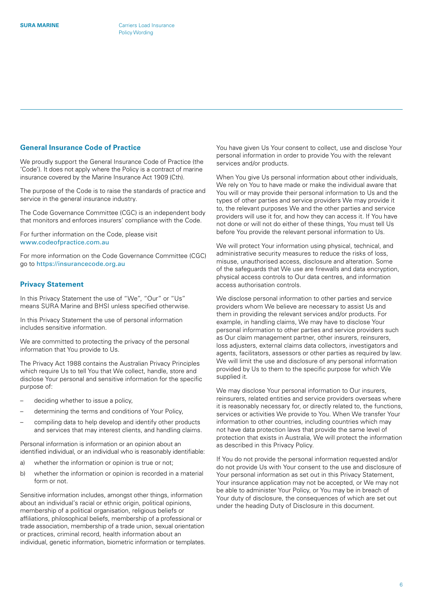#### <span id="page-5-0"></span>**General Insurance Code of Practice**

We proudly support the General Insurance Code of Practice (the 'Code'). It does not apply where the Policy is a contract of marine insurance covered by the Marine Insurance Act 1909 (Cth).

The purpose of the Code is to raise the standards of practice and service in the general insurance industry.

The Code Governance Committee (CGC) is an independent body that monitors and enforces insurers' compliance with the Code.

For further information on the Code, please visit [www.codeofpractice.com.au](http://www.codeofpractice.com.au)

For more information on the Code Governance Committee (CGC) go to <https://insurancecode.org.au>

# **Privacy Statement**

In this Privacy Statement the use of "We", "Our" or "Us" means SURA Marine and BHSI unless specified otherwise.

In this Privacy Statement the use of personal information includes sensitive information.

We are committed to protecting the privacy of the personal information that You provide to Us.

The Privacy Act 1988 contains the Australian Privacy Principles which require Us to tell You that We collect, handle, store and disclose Your personal and sensitive information for the specific purpose of:

- deciding whether to issue a policy,
- determining the terms and conditions of Your Policy,
- compiling data to help develop and identify other products and services that may interest clients, and handling claims.

Personal information is information or an opinion about an identified individual, or an individual who is reasonably identifiable:

- a) whether the information or opinion is true or not;
- b) whether the information or opinion is recorded in a material form or not.

Sensitive information includes, amongst other things, information about an individual's racial or ethnic origin, political opinions, membership of a political organisation, religious beliefs or affiliations, philosophical beliefs, membership of a professional or trade association, membership of a trade union, sexual orientation or practices, criminal record, health information about an individual, genetic information, biometric information or templates. You have given Us Your consent to collect, use and disclose Your personal information in order to provide You with the relevant services and/or products.

When You give Us personal information about other individuals, We rely on You to have made or make the individual aware that You will or may provide their personal information to Us and the types of other parties and service providers We may provide it to, the relevant purposes We and the other parties and service providers will use it for, and how they can access it. If You have not done or will not do either of these things, You must tell Us before You provide the relevant personal information to Us.

We will protect Your information using physical, technical, and administrative security measures to reduce the risks of loss, misuse, unauthorised access, disclosure and alteration. Some of the safeguards that We use are firewalls and data encryption, physical access controls to Our data centres, and information access authorisation controls.

We disclose personal information to other parties and service providers whom We believe are necessary to assist Us and them in providing the relevant services and/or products. For example, in handling claims, We may have to disclose Your personal information to other parties and service providers such as Our claim management partner, other insurers, reinsurers, loss adjusters, external claims data collectors, investigators and agents, facilitators, assessors or other parties as required by law. We will limit the use and disclosure of any personal information provided by Us to them to the specific purpose for which We supplied it.

We may disclose Your personal information to Our insurers, reinsurers, related entities and service providers overseas where it is reasonably necessary for, or directly related to, the functions, services or activities We provide to You. When We transfer Your information to other countries, including countries which may not have data protection laws that provide the same level of protection that exists in Australia, We will protect the information as described in this Privacy Policy.

If You do not provide the personal information requested and/or do not provide Us with Your consent to the use and disclosure of Your personal information as set out in this Privacy Statement, Your insurance application may not be accepted, or We may not be able to administer Your Policy, or You may be in breach of Your duty of disclosure, the consequences of which are set out under the heading Duty of Disclosure in this document.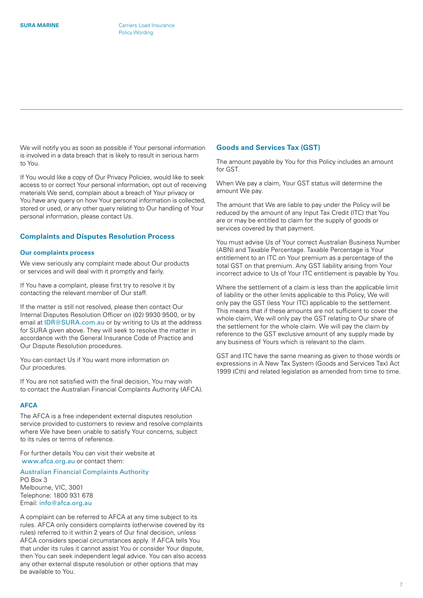<span id="page-6-0"></span>We will notify you as soon as possible if Your personal information is involved in a data breach that is likely to result in serious harm to You.

If You would like a copy of Our Privacy Policies, would like to seek access to or correct Your personal information, opt out of receiving materials We send, complain about a breach of Your privacy or You have any query on how Your personal information is collected, stored or used, or any other query relating to Our handling of Your personal information, please contact Us.

# **Complaints and Disputes Resolution Process**

#### **Our complaints process**

We view seriously any complaint made about Our products or services and will deal with it promptly and fairly.

If You have a complaint, please first try to resolve it by contacting the relevant member of Our staff.

If the matter is still not resolved, please then contact Our Internal Disputes Resolution Officer on (02) 9930 9500, or by email at [IDR@SURA.com.au](mailto:IDR%40SURA.com.au?subject=) or by writing to Us at the address for SURA given above. They will seek to resolve the matter in accordance with the General Insurance Code of Practice and Our Dispute Resolution procedures.

You can contact Us if You want more information on Our procedures.

If You are not satisfied with the final decision, You may wish to contact the Australian Financial Complaints Authority (AFCA).

# **AFCA**

The AFCA is a free independent external disputes resolution service provided to customers to review and resolve complaints where We have been unable to satisfy Your concerns, subject to its rules or terms of reference.

For further details You can visit their website at [www.afca.org.au](http://www.afca.org.au) or contact them:

Australian Financial Complaints Authority PO Box 3 Melbourne, VIC, 3001 Telephone: 1800 931 678 Email: [info@afca.org.au](mailto:info%40afca.org.au?subject=)

A complaint can be referred to AFCA at any time subject to its rules. AFCA only considers complaints (otherwise covered by its rules) referred to it within 2 years of Our final decision, unless AFCA considers special circumstances apply. If AFCA tells You that under its rules it cannot assist You or consider Your dispute, then You can seek independent legal advice. You can also access any other external dispute resolution or other options that may be available to You.

#### **Goods and Services Tax (GST)**

The amount payable by You for this Policy includes an amount for GST.

When We pay a claim, Your GST status will determine the amount We pay.

The amount that We are liable to pay under the Policy will be reduced by the amount of any Input Tax Credit (ITC) that You are or may be entitled to claim for the supply of goods or services covered by that payment.

You must advise Us of Your correct Australian Business Number (ABN) and Taxable Percentage. Taxable Percentage is Your entitlement to an ITC on Your premium as a percentage of the total GST on that premium. Any GST liability arising from Your incorrect advice to Us of Your ITC entitlement is payable by You.

Where the settlement of a claim is less than the applicable limit of liability or the other limits applicable to this Policy, We will only pay the GST (less Your ITC) applicable to the settlement. This means that if these amounts are not sufficient to cover the whole claim, We will only pay the GST relating to Our share of the settlement for the whole claim. We will pay the claim by reference to the GST exclusive amount of any supply made by any business of Yours which is relevant to the claim.

GST and ITC have the same meaning as given to those words or expressions in A New Tax System (Goods and Services Tax) Act 1999 (Cth) and related legislation as amended from time to time.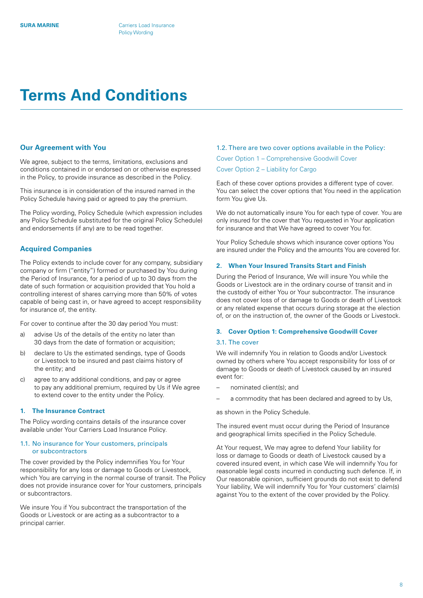# <span id="page-7-0"></span>**Terms And Conditions**

#### **Our Agreement with You**

We agree, subject to the terms, limitations, exclusions and conditions contained in or endorsed on or otherwise expressed in the Policy, to provide insurance as described in the Policy.

This insurance is in consideration of the insured named in the Policy Schedule having paid or agreed to pay the premium.

The Policy wording, Policy Schedule (which expression includes any Policy Schedule substituted for the original Policy Schedule) and endorsements (if any) are to be read together.

# **Acquired Companies**

The Policy extends to include cover for any company, subsidiary company or firm ("entity") formed or purchased by You during the Period of Insurance, for a period of up to 30 days from the date of such formation or acquisition provided that You hold a controlling interest of shares carrying more than 50% of votes capable of being cast in, or have agreed to accept responsibility for insurance of, the entity.

For cover to continue after the 30 day period You must:

- a) advise Us of the details of the entity no later than 30 days from the date of formation or acquisition;
- b) declare to Us the estimated sendings, type of Goods or Livestock to be insured and past claims history of the entity; and
- c) agree to any additional conditions, and pay or agree to pay any additional premium, required by Us if We agree to extend cover to the entity under the Policy.

#### **1. The Insurance Contract**

The Policy wording contains details of the insurance cover available under Your Carriers Load Insurance Policy.

#### 1.1. No insurance for Your customers, principals or subcontractors

The cover provided by the Policy indemnifies You for Your responsibility for any loss or damage to Goods or Livestock, which You are carrying in the normal course of transit. The Policy does not provide insurance cover for Your customers, principals or subcontractors.

We insure You if You subcontract the transportation of the Goods or Livestock or are acting as a subcontractor to a principal carrier.

# 1.2. There are two cover options available in the Policy:

Cover Option 1 – Comprehensive Goodwill Cover

Cover Option 2 – Liability for Cargo

Each of these cover options provides a different type of cover. You can select the cover options that You need in the application form You give Us.

We do not automatically insure You for each type of cover. You are only insured for the cover that You requested in Your application for insurance and that We have agreed to cover You for.

Your Policy Schedule shows which insurance cover options You are insured under the Policy and the amounts You are covered for.

#### **2. When Your Insured Transits Start and Finish**

During the Period of Insurance, We will insure You while the Goods or Livestock are in the ordinary course of transit and in the custody of either You or Your subcontractor. The insurance does not cover loss of or damage to Goods or death of Livestock or any related expense that occurs during storage at the election of, or on the instruction of, the owner of the Goods or Livestock.

#### **3. Cover Option 1: Comprehensive Goodwill Cover**

#### 3.1. The cover

We will indemnify You in relation to Goods and/or Livestock owned by others where You accept responsibility for loss of or damage to Goods or death of Livestock caused by an insured event for:

- nominated client(s); and
- a commodity that has been declared and agreed to by Us,

as shown in the Policy Schedule.

The insured event must occur during the Period of Insurance and geographical limits specified in the Policy Schedule.

At Your request, We may agree to defend Your liability for loss or damage to Goods or death of Livestock caused by a covered insured event, in which case We will indemnify You for reasonable legal costs incurred in conducting such defence. If, in Our reasonable opinion, sufficient grounds do not exist to defend Your liability, We will indemnify You for Your customers' claim(s) against You to the extent of the cover provided by the Policy.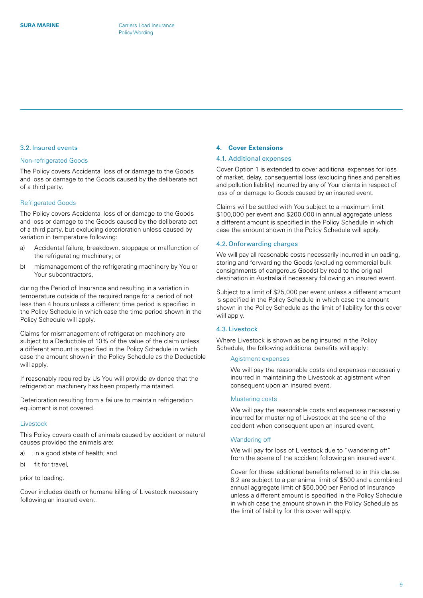#### <span id="page-8-0"></span>3.2. Insured events

#### Non-refrigerated Goods

The Policy covers Accidental loss of or damage to the Goods and loss or damage to the Goods caused by the deliberate act of a third party.

#### Refrigerated Goods

The Policy covers Accidental loss of or damage to the Goods and loss or damage to the Goods caused by the deliberate act of a third party, but excluding deterioration unless caused by variation in temperature following:

- a) Accidental failure, breakdown, stoppage or malfunction of the refrigerating machinery; or
- b) mismanagement of the refrigerating machinery by You or Your subcontractors,

during the Period of Insurance and resulting in a variation in temperature outside of the required range for a period of not less than 4 hours unless a different time period is specified in the Policy Schedule in which case the time period shown in the Policy Schedule will apply.

Claims for mismanagement of refrigeration machinery are subject to a Deductible of 10% of the value of the claim unless a different amount is specified in the Policy Schedule in which case the amount shown in the Policy Schedule as the Deductible will apply.

If reasonably required by Us You will provide evidence that the refrigeration machinery has been properly maintained.

Deterioration resulting from a failure to maintain refrigeration equipment is not covered.

#### **Livestock**

This Policy covers death of animals caused by accident or natural causes provided the animals are:

- a) in a good state of health; and
- b) fit for travel,

#### prior to loading.

Cover includes death or humane killing of Livestock necessary following an insured event.

### **4. Cover Extensions**

# 4.1. Additional expenses

Cover Option 1 is extended to cover additional expenses for loss of market, delay, consequential loss (excluding fines and penalties and pollution liability) incurred by any of Your clients in respect of loss of or damage to Goods caused by an insured event.

Claims will be settled with You subject to a maximum limit \$100,000 per event and \$200,000 in annual aggregate unless a different amount is specified in the Policy Schedule in which case the amount shown in the Policy Schedule will apply.

#### 4.2. Onforwarding charges

We will pay all reasonable costs necessarily incurred in unloading, storing and forwarding the Goods (excluding commercial bulk consignments of dangerous Goods) by road to the original destination in Australia if necessary following an insured event.

Subject to a limit of \$25,000 per event unless a different amount is specified in the Policy Schedule in which case the amount shown in the Policy Schedule as the limit of liability for this cover will apply.

# 4.3. Livestock

Where Livestock is shown as being insured in the Policy Schedule, the following additional benefits will apply:

#### Agistment expenses

We will pay the reasonable costs and expenses necessarily incurred in maintaining the Livestock at agistment when consequent upon an insured event.

#### Mustering costs

We will pay the reasonable costs and expenses necessarily incurred for mustering of Livestock at the scene of the accident when consequent upon an insured event.

#### Wandering off

We will pay for loss of Livestock due to "wandering off" from the scene of the accident following an insured event.

Cover for these additional benefits referred to in this clause 6.2 are subject to a per animal limit of \$500 and a combined annual aggregate limit of \$50,000 per Period of Insurance unless a different amount is specified in the Policy Schedule in which case the amount shown in the Policy Schedule as the limit of liability for this cover will apply.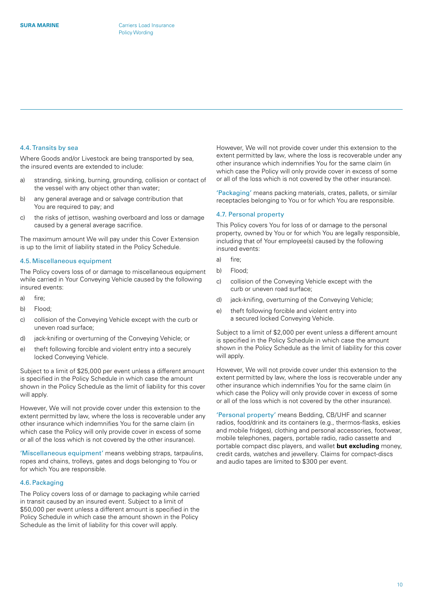#### 4.4. Transits by sea

Where Goods and/or Livestock are being transported by sea, the insured events are extended to include:

- a) stranding, sinking, burning, grounding, collision or contact of the vessel with any object other than water;
- b) any general average and or salvage contribution that You are required to pay; and
- c) the risks of jettison, washing overboard and loss or damage caused by a general average sacrifice.

The maximum amount We will pay under this Cover Extension is up to the limit of liability stated in the Policy Schedule.

# 4.5. Miscellaneous equipment

The Policy covers loss of or damage to miscellaneous equipment while carried in Your Conveying Vehicle caused by the following insured events:

- a) fire;
- b) Flood;
- c) collision of the Conveying Vehicle except with the curb or uneven road surface;
- d) jack-knifing or overturning of the Conveying Vehicle; or
- e) theft following forcible and violent entry into a securely locked Conveying Vehicle.

Subject to a limit of \$25,000 per event unless a different amount is specified in the Policy Schedule in which case the amount shown in the Policy Schedule as the limit of liability for this cover will apply.

However, We will not provide cover under this extension to the extent permitted by law, where the loss is recoverable under any other insurance which indemnifies You for the same claim (in which case the Policy will only provide cover in excess of some or all of the loss which is not covered by the other insurance).

'Miscellaneous equipment' means webbing straps, tarpaulins, ropes and chains, trolleys, gates and dogs belonging to You or for which You are responsible.

#### 4.6. Packaging

The Policy covers loss of or damage to packaging while carried in transit caused by an insured event. Subject to a limit of \$50,000 per event unless a different amount is specified in the Policy Schedule in which case the amount shown in the Policy Schedule as the limit of liability for this cover will apply.

However, We will not provide cover under this extension to the extent permitted by law, where the loss is recoverable under any other insurance which indemnifies You for the same claim (in which case the Policy will only provide cover in excess of some or all of the loss which is not covered by the other insurance).

'Packaging' means packing materials, crates, pallets, or similar receptacles belonging to You or for which You are responsible.

#### 4.7. Personal property

This Policy covers You for loss of or damage to the personal property, owned by You or for which You are legally responsible, including that of Your employee(s) caused by the following insured events:

- a) fire;
- b) Flood;
- c) collision of the Conveying Vehicle except with the curb or uneven road surface;
- d) jack-knifing, overturning of the Conveying Vehicle;
- e) theft following forcible and violent entry into a secured locked Conveying Vehicle.

Subject to a limit of \$2,000 per event unless a different amount is specified in the Policy Schedule in which case the amount shown in the Policy Schedule as the limit of liability for this cover will apply.

However, We will not provide cover under this extension to the extent permitted by law, where the loss is recoverable under any other insurance which indemnifies You for the same claim (in which case the Policy will only provide cover in excess of some or all of the loss which is not covered by the other insurance).

'Personal property' means Bedding, CB/UHF and scanner radios, food/drink and its containers (e.g., thermos-flasks, eskies and mobile fridges), clothing and personal accessories, footwear, mobile telephones, pagers, portable radio, radio cassette and portable compact disc players, and wallet **but excluding** money, credit cards, watches and jewellery. Claims for compact-discs and audio tapes are limited to \$300 per event.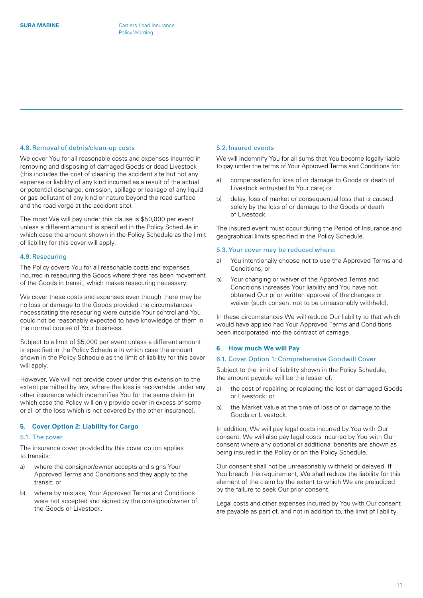#### <span id="page-10-0"></span>4.8.Removal of debris/clean-up costs

We cover You for all reasonable costs and expenses incurred in removing and disposing of damaged Goods or dead Livestock (this includes the cost of cleaning the accident site but not any expense or liability of any kind incurred as a result of the actual or potential discharge, emission, spillage or leakage of any liquid or gas pollutant of any kind or nature beyond the road surface and the road verge at the accident site).

The most We will pay under this clause is \$50,000 per event unless a different amount is specified in the Policy Schedule in which case the amount shown in the Policy Schedule as the limit of liability for this cover will apply.

#### 4.9.Resecuring

The Policy covers You for all reasonable costs and expenses incurred in resecuring the Goods where there has been movement of the Goods in transit, which makes resecuring necessary.

We cover these costs and expenses even though there may be no loss or damage to the Goods provided the circumstances necessitating the resecuring were outside Your control and You could not be reasonably expected to have knowledge of them in the normal course of Your business.

Subject to a limit of \$5,000 per event unless a different amount is specified in the Policy Schedule in which case the amount shown in the Policy Schedule as the limit of liability for this cover will apply.

However, We will not provide cover under this extension to the extent permitted by law, where the loss is recoverable under any other insurance which indemnifies You for the same claim (in which case the Policy will only provide cover in excess of some or all of the loss which is not covered by the other insurance).

#### **5. Cover Option 2: Liability for Cargo**

#### 5.1. The cover

The insurance cover provided by this cover option applies to transits:

- a) where the consignor/owner accepts and signs Your Approved Terms and Conditions and they apply to the transit; or
- b) where by mistake, Your Approved Terms and Conditions were not accepted and signed by the consignor/owner of the Goods or Livestock.

#### 5.2. Insured events

We will indemnify You for all sums that You become legally liable to pay under the terms of Your Approved Terms and Conditions for:

- a) compensation for loss of or damage to Goods or death of Livestock entrusted to Your care; or
- b) delay, loss of market or consequential loss that is caused solely by the loss of or damage to the Goods or death of Livestock.

The insured event must occur during the Period of Insurance and geographical limits specified in the Policy Schedule.

#### 5.3.Your cover may be reduced where:

- a) You intentionally choose not to use the Approved Terms and Conditions; or
- b) Your changing or waiver of the Approved Terms and Conditions increases Your liability and You have not obtained Our prior written approval of the changes or waiver (such consent not to be unreasonably withheld).

In these circumstances We will reduce Our liability to that which would have applied had Your Approved Terms and Conditions been incorporated into the contract of carriage.

# **6. How much We will Pay**

#### 6.1. Cover Option 1: Comprehensive Goodwill Cover

Subject to the limit of liability shown in the Policy Schedule, the amount payable will be the lesser of:

- a) the cost of repairing or replacing the lost or damaged Goods or Livestock; or
- b) the Market Value at the time of loss of or damage to the Goods or Livestock.

In addition, We will pay legal costs incurred by You with Our consent. We will also pay legal costs incurred by You with Our consent where any optional or additional benefits are shown as being insured in the Policy or on the Policy Schedule.

Our consent shall not be unreasonably withheld or delayed. If You breach this requirement, We shall reduce the liability for this element of the claim by the extent to which We are prejudiced by the failure to seek Our prior consent.

Legal costs and other expenses incurred by You with Our consent are payable as part of, and not in addition to, the limit of liability.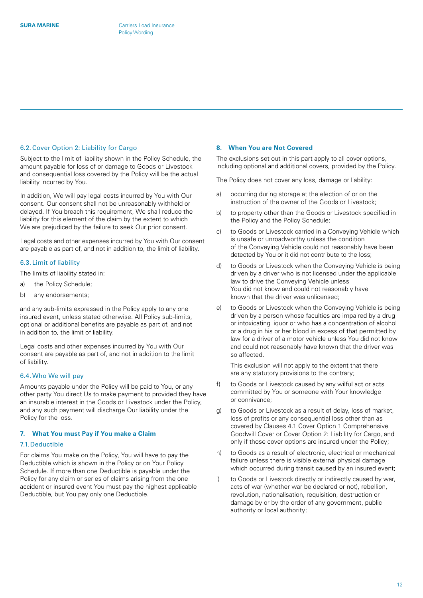#### <span id="page-11-0"></span>6.2. Cover Option 2: Liability for Cargo

Subject to the limit of liability shown in the Policy Schedule, the amount payable for loss of or damage to Goods or Livestock and consequential loss covered by the Policy will be the actual liability incurred by You.

In addition, We will pay legal costs incurred by You with Our consent. Our consent shall not be unreasonably withheld or delayed. If You breach this requirement, We shall reduce the liability for this element of the claim by the extent to which We are prejudiced by the failure to seek Our prior consent.

Legal costs and other expenses incurred by You with Our consent are payable as part of, and not in addition to, the limit of liability.

#### 6.3. Limit of liability

The limits of liability stated in:

- a) the Policy Schedule;
- b) any endorsements;

and any sub-limits expressed in the Policy apply to any one insured event, unless stated otherwise. All Policy sub-limits, optional or additional benefits are payable as part of, and not in addition to, the limit of liability.

Legal costs and other expenses incurred by You with Our consent are payable as part of, and not in addition to the limit of liability.

#### 6.4.Who We will pay

Amounts payable under the Policy will be paid to You, or any other party You direct Us to make payment to provided they have an insurable interest in the Goods or Livestock under the Policy, and any such payment will discharge Our liability under the Policy for the loss.

#### **7. What You must Pay if You make a Claim**

#### 7.1.Deductible

For claims You make on the Policy, You will have to pay the Deductible which is shown in the Policy or on Your Policy Schedule. If more than one Deductible is payable under the Policy for any claim or series of claims arising from the one accident or insured event You must pay the highest applicable Deductible, but You pay only one Deductible.

#### **8. When You are Not Covered**

The exclusions set out in this part apply to all cover options, including optional and additional covers, provided by the Policy.

The Policy does not cover any loss, damage or liability:

- a) occurring during storage at the election of or on the instruction of the owner of the Goods or Livestock;
- b) to property other than the Goods or Livestock specified in the Policy and the Policy Schedule;
- c) to Goods or Livestock carried in a Conveying Vehicle which is unsafe or unroadworthy unless the condition of the Conveying Vehicle could not reasonably have been detected by You or it did not contribute to the loss;
- d) to Goods or Livestock when the Conveying Vehicle is being driven by a driver who is not licensed under the applicable law to drive the Conveying Vehicle unless You did not know and could not reasonably have known that the driver was unlicensed;
- e) to Goods or Livestock when the Conveying Vehicle is being driven by a person whose faculties are impaired by a drug or intoxicating liquor or who has a concentration of alcohol or a drug in his or her blood in excess of that permitted by law for a driver of a motor vehicle unless You did not know and could not reasonably have known that the driver was so affected.

This exclusion will not apply to the extent that there are any statutory provisions to the contrary;

- f) to Goods or Livestock caused by any wilful act or acts committed by You or someone with Your knowledge or connivance;
- g) to Goods or Livestock as a result of delay, loss of market, loss of profits or any consequential loss other than as covered by Clauses 4.1 Cover Option 1 Comprehensive Goodwill Cover or Cover Option 2: Liability for Cargo, and only if those cover options are insured under the Policy;
- h) to Goods as a result of electronic, electrical or mechanical failure unless there is visible external physical damage which occurred during transit caused by an insured event;
- i) to Goods or Livestock directly or indirectly caused by war, acts of war (whether war be declared or not), rebellion, revolution, nationalisation, requisition, destruction or damage by or by the order of any government, public authority or local authority;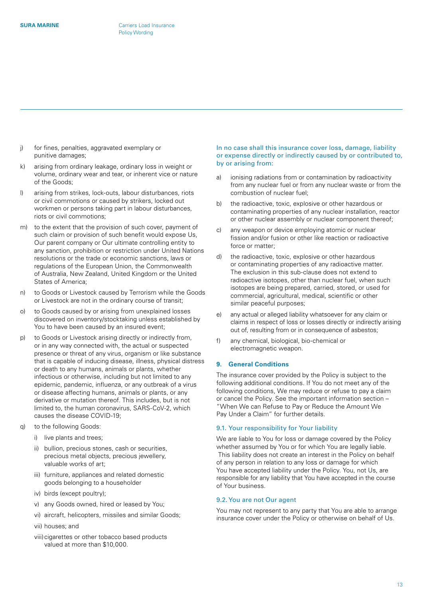- <span id="page-12-0"></span>j) for fines, penalties, aggravated exemplary or punitive damages;
- k) arising from ordinary leakage, ordinary loss in weight or volume, ordinary wear and tear, or inherent vice or nature of the Goods;
- l) arising from strikes, lock-outs, labour disturbances, riots or civil commotions or caused by strikers, locked out workmen or persons taking part in labour disturbances, riots or civil commotions;
- m) to the extent that the provision of such cover, payment of such claim or provision of such benefit would expose Us, Our parent company or Our ultimate controlling entity to any sanction, prohibition or restriction under United Nations resolutions or the trade or economic sanctions, laws or regulations of the European Union, the Commonwealth of Australia, New Zealand, United Kingdom or the United States of America;
- n) to Goods or Livestock caused by Terrorism while the Goods or Livestock are not in the ordinary course of transit;
- o) to Goods caused by or arising from unexplained losses discovered on inventory/stocktaking unless established by You to have been caused by an insured event;
- p) to Goods or Livestock arising directly or indirectly from, or in any way connected with, the actual or suspected presence or threat of any virus, organism or like substance that is capable of inducing disease, illness, physical distress or death to any humans, animals or plants, whether infectious or otherwise, including but not limited to any epidemic, pandemic, influenza, or any outbreak of a virus or disease affecting humans, animals or plants, or any derivative or mutation thereof. This includes, but is not limited to, the human coronavirus, SARS-CoV-2, which causes the disease COVID-19;
- q) to the following Goods:
	- i) live plants and trees;
	- ii) bullion, precious stones, cash or securities, precious metal objects, precious jewellery, valuable works of art;
	- iii) furniture, appliances and related domestic goods belonging to a householder
	- iv) birds (except poultry);
	- v) any Goods owned, hired or leased by You;
	- vi) aircraft, helicopters, missiles and similar Goods;
	- vii) houses; and
	- viii)cigarettes or other tobacco based products valued at more than \$10,000.

#### In no case shall this insurance cover loss, damage, liability or expense directly or indirectly caused by or contributed to, by or arising from:

- a) ionising radiations from or contamination by radioactivity from any nuclear fuel or from any nuclear waste or from the combustion of nuclear fuel;
- b) the radioactive, toxic, explosive or other hazardous or contaminating properties of any nuclear installation, reactor or other nuclear assembly or nuclear component thereof;
- c) any weapon or device employing atomic or nuclear fission and/or fusion or other like reaction or radioactive force or matter;
- d) the radioactive, toxic, explosive or other hazardous or contaminating properties of any radioactive matter. The exclusion in this sub-clause does not extend to radioactive isotopes, other than nuclear fuel, when such isotopes are being prepared, carried, stored, or used for commercial, agricultural, medical, scientific or other similar peaceful purposes;
- e) any actual or alleged liability whatsoever for any claim or claims in respect of loss or losses directly or indirectly arising out of, resulting from or in consequence of asbestos;
- f) any chemical, biological, bio-chemical or electromagnetic weapon.

#### **9. General Conditions**

The insurance cover provided by the Policy is subject to the following additional conditions. If You do not meet any of the following conditions, We may reduce or refuse to pay a claim or cancel the Policy. See the important information section – "When We can Refuse to Pay or Reduce the Amount We Pay Under a Claim" for further details.

#### 9.1. Your responsibility for Your liability

We are liable to You for loss or damage covered by the Policy whether assumed by You or for which You are legally liable. This liability does not create an interest in the Policy on behalf of any person in relation to any loss or damage for which You have accepted liability under the Policy. You, not Us, are responsible for any liability that You have accepted in the course of Your business.

#### 9.2. You are not Our agent

You may not represent to any party that You are able to arrange insurance cover under the Policy or otherwise on behalf of Us.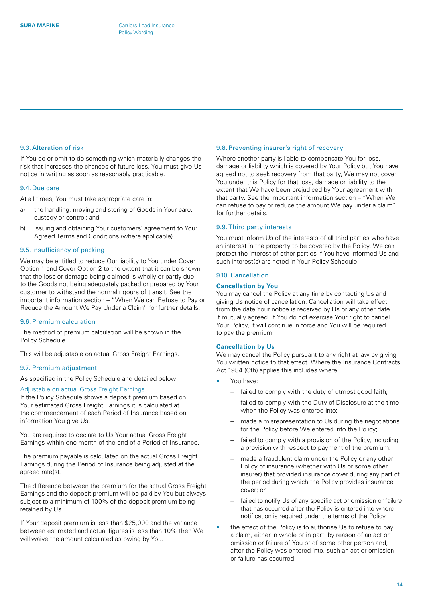# 9.3. Alteration of risk

If You do or omit to do something which materially changes the risk that increases the chances of future loss, You must give Us notice in writing as soon as reasonably practicable.

#### 9.4. Due care

At all times, You must take appropriate care in:

- a) the handling, moving and storing of Goods in Your care, custody or control; and
- b) issuing and obtaining Your customers' agreement to Your Agreed Terms and Conditions (where applicable).

#### 9.5. Insufficiency of packing

We may be entitled to reduce Our liability to You under Cover Option 1 and Cover Option 2 to the extent that it can be shown that the loss or damage being claimed is wholly or partly due to the Goods not being adequately packed or prepared by Your customer to withstand the normal rigours of transit. See the important information section – "When We can Refuse to Pay or Reduce the Amount We Pay Under a Claim" for further details.

# 9.6. Premium calculation

The method of premium calculation will be shown in the Policy Schedule.

This will be adjustable on actual Gross Freight Earnings.

#### 9.7. Premium adjustment

As specified in the Policy Schedule and detailed below:

#### Adjustable on actual Gross Freight Earnings

If the Policy Schedule shows a deposit premium based on Your estimated Gross Freight Earnings it is calculated at the commencement of each Period of Insurance based on information You give Us.

You are required to declare to Us Your actual Gross Freight Earnings within one month of the end of a Period of Insurance.

The premium payable is calculated on the actual Gross Freight Earnings during the Period of Insurance being adjusted at the agreed rate(s).

The difference between the premium for the actual Gross Freight Earnings and the deposit premium will be paid by You but always subject to a minimum of 100% of the deposit premium being retained by Us.

If Your deposit premium is less than \$25,000 and the variance between estimated and actual figures is less than 10% then We will waive the amount calculated as owing by You.

#### 9.8. Preventing insurer's right of recovery

Where another party is liable to compensate You for loss, damage or liability which is covered by Your Policy but You have agreed not to seek recovery from that party, We may not cover You under this Policy for that loss, damage or liability to the extent that We have been prejudiced by Your agreement with that party. See the important information section – "When We can refuse to pay or reduce the amount We pay under a claim" for further details.

#### 9.9. Third party interests

You must inform Us of the interests of all third parties who have an interest in the property to be covered by the Policy. We can protect the interest of other parties if You have informed Us and such interest(s) are noted in Your Policy Schedule.

# 9.10. Cancellation

#### **Cancellation by You**

You may cancel the Policy at any time by contacting Us and giving Us notice of cancellation. Cancellation will take effect from the date Your notice is received by Us or any other date if mutually agreed. If You do not exercise Your right to cancel Your Policy, it will continue in force and You will be required to pay the premium.

# **Cancellation by Us**

We may cancel the Policy pursuant to any right at law by giving You written notice to that effect. Where the Insurance Contracts Act 1984 (Cth) applies this includes where:

- You have:
	- failed to comply with the duty of utmost good faith;
	- failed to comply with the Duty of Disclosure at the time when the Policy was entered into;
	- made a misrepresentation to Us during the negotiations for the Policy before We entered into the Policy;
	- failed to comply with a provision of the Policy, including a provision with respect to payment of the premium;
	- made a fraudulent claim under the Policy or any other Policy of insurance (whether with Us or some other insurer) that provided insurance cover during any part of the period during which the Policy provides insurance cover; or
	- failed to notify Us of any specific act or omission or failure that has occurred after the Policy is entered into where notification is required under the terms of the Policy.
- the effect of the Policy is to authorise Us to refuse to pay a claim, either in whole or in part, by reason of an act or omission or failure of You or of some other person and, after the Policy was entered into, such an act or omission or failure has occurred.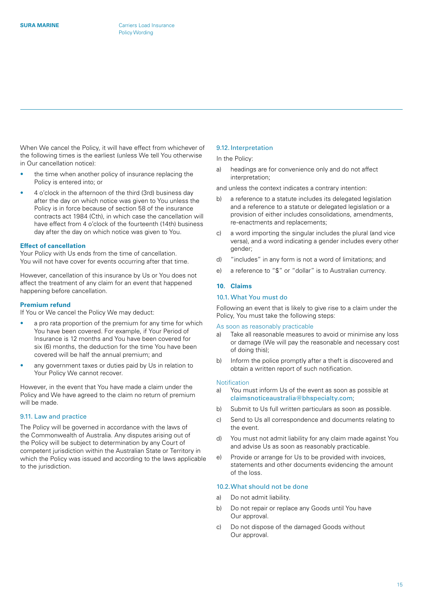<span id="page-14-0"></span>When We cancel the Policy, it will have effect from whichever of the following times is the earliest (unless We tell You otherwise in Our cancellation notice):

- the time when another policy of insurance replacing the Policy is entered into; or
- 4 o'clock in the afternoon of the third (3rd) business day after the day on which notice was given to You unless the Policy is in force because of section 58 of the insurance contracts act 1984 (Cth), in which case the cancellation will have effect from 4 o'clock of the fourteenth (14th) business day after the day on which notice was given to You.

#### **Effect of cancellation**

Your Policy with Us ends from the time of cancellation. You will not have cover for events occurring after that time.

However, cancellation of this insurance by Us or You does not affect the treatment of any claim for an event that happened happening before cancellation.

#### **Premium refund**

If You or We cancel the Policy We may deduct:

- a pro rata proportion of the premium for any time for which You have been covered. For example, if Your Period of Insurance is 12 months and You have been covered for six (6) months, the deduction for the time You have been covered will be half the annual premium; and
- any government taxes or duties paid by Us in relation to Your Policy We cannot recover.

However, in the event that You have made a claim under the Policy and We have agreed to the claim no return of premium will be made.

#### 9.11. Law and practice

The Policy will be governed in accordance with the laws of the Commonwealth of Australia. Any disputes arising out of the Policy will be subject to determination by any Court of competent jurisdiction within the Australian State or Territory in which the Policy was issued and according to the laws applicable to the jurisdiction.

#### 9.12. Interpretation

#### In the Policy:

a) headings are for convenience only and do not affect interpretation;

and unless the context indicates a contrary intention:

- b) a reference to a statute includes its delegated legislation and a reference to a statute or delegated legislation or a provision of either includes consolidations, amendments, re-enactments and replacements;
- c) a word importing the singular includes the plural (and vice versa), and a word indicating a gender includes every other gender;
- d) "includes" in any form is not a word of limitations; and
- e) a reference to "\$" or "dollar" is to Australian currency.

#### **10. Claims**

#### 10.1. What You must do

Following an event that is likely to give rise to a claim under the Policy, You must take the following steps:

#### As soon as reasonably practicable

- a) Take all reasonable measures to avoid or minimise any loss or damage (We will pay the reasonable and necessary cost of doing this);
- b) Inform the police promptly after a theft is discovered and obtain a written report of such notification.

#### **Notification**

- a) You must inform Us of the event as soon as possible at [claimsnoticeaustralia@bhspecialty.com](mailto:claimsnoticeaustralia%40bhspecialty.com?subject=);
- b) Submit to Us full written particulars as soon as possible.
- c) Send to Us all correspondence and documents relating to the event.
- d) You must not admit liability for any claim made against You and advise Us as soon as reasonably practicable.
- e) Provide or arrange for Us to be provided with invoices, statements and other documents evidencing the amount of the loss.

# 10.2.What should not be done

- a) Do not admit liability.
- b) Do not repair or replace any Goods until You have Our approval.
- c) Do not dispose of the damaged Goods without Our approval.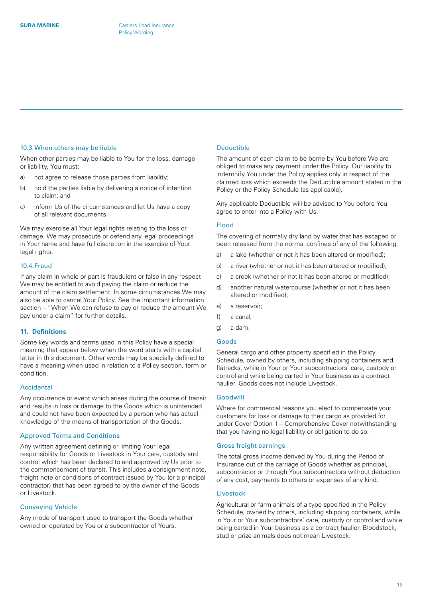#### <span id="page-15-0"></span>10.3.When others may be liable

When other parties may be liable to You for the loss, damage or liability, You must:

- a) not agree to release those parties from liability;
- b) hold the parties liable by delivering a notice of intention to claim; and
- c) inform Us of the circumstances and let Us have a copy of all relevant documents.

We may exercise all Your legal rights relating to the loss or damage. We may prosecute or defend any legal proceedings in Your name and have full discretion in the exercise of Your legal rights.

#### 10.4.Fraud

If any claim in whole or part is fraudulent or false in any respect We may be entitled to avoid paying the claim or reduce the amount of the claim settlement. In some circumstances We may also be able to cancel Your Policy. See the important information section – "When We can refuse to pay or reduce the amount We pay under a claim" for further details.

# **11. Definitions**

Some key words and terms used in this Policy have a special meaning that appear below when the word starts with a capital letter in this document. Other words may be specially defined to have a meaning when used in relation to a Policy section, term or condition.

# Accidental

Any occurrence or event which arises during the course of transit and results in loss or damage to the Goods which is unintended and could not have been expected by a person who has actual knowledge of the means of transportation of the Goods.

#### Approved Terms and Conditions

Any written agreement defining or limiting Your legal responsibility for Goods or Livestock in Your care, custody and control which has been declared to and approved by Us prior to the commencement of transit. This includes a consignment note, freight note or conditions of contract issued by You (or a principal contractor) that has been agreed to by the owner of the Goods or Livestock.

#### Conveying Vehicle

Any mode of transport used to transport the Goods whether owned or operated by You or a subcontractor of Yours.

# Deductible

The amount of each claim to be borne by You before We are obliged to make any payment under the Policy. Our liability to indemnify You under the Policy applies only in respect of the claimed loss which exceeds the Deductible amount stated in the Policy or the Policy Schedule (as applicable).

Any applicable Deductible will be advised to You before You agree to enter into a Policy with Us.

#### Flood

The covering of normally dry land by water that has escaped or been released from the normal confines of any of the following:

- a) a lake (whether or not it has been altered or modified);
- b) a river (whether or not it has been altered or modified);
- c) a creek (whether or not it has been altered or modified);
- d) another natural watercourse (whether or not it has been altered or modified);
- e) a reservoir;
- f) a canal;
- g) a dam.

#### Goods

General cargo and other property specified in the Policy Schedule, owned by others, including shipping containers and flatracks, while in Your or Your subcontractors' care, custody or control and while being carted in Your business as a contract haulier. Goods does not include Livestock.

# Goodwill

Where for commercial reasons you elect to compensate your customers for loss or damage to their cargo as provided for under Cover Option 1 – Comprehensive Cover notwithstanding that you having no legal liability or obligation to do so.

#### Gross freight earnings

The total gross income derived by You during the Period of Insurance out of the carriage of Goods whether as principal, subcontractor or through Your subcontractors without deduction of any cost, payments to others or expenses of any kind.

# Livestock

Agricultural or farm animals of a type specified in the Policy Schedule, owned by others, including shipping containers, while in Your or Your subcontractors' care, custody or control and while being carted in Your business as a contract haulier. Bloodstock, stud or prize animals does not mean Livestock.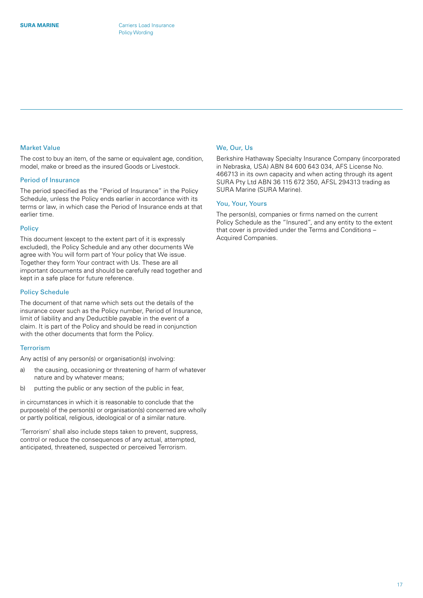# Market Value

The cost to buy an item, of the same or equivalent age, condition, model, make or breed as the insured Goods or Livestock.

# Period of Insurance

The period specified as the "Period of Insurance" in the Policy Schedule, unless the Policy ends earlier in accordance with its terms or law, in which case the Period of Insurance ends at that earlier time.

# Policy

This document (except to the extent part of it is expressly excluded), the Policy Schedule and any other documents We agree with You will form part of Your policy that We issue. Together they form Your contract with Us. These are all important documents and should be carefully read together and kept in a safe place for future reference.

# Policy Schedule

The document of that name which sets out the details of the insurance cover such as the Policy number, Period of Insurance, limit of liability and any Deductible payable in the event of a claim. It is part of the Policy and should be read in conjunction with the other documents that form the Policy.

# **Terrorism**

Any act(s) of any person(s) or organisation(s) involving:

- a) the causing, occasioning or threatening of harm of whatever nature and by whatever means;
- b) putting the public or any section of the public in fear,

in circumstances in which it is reasonable to conclude that the purpose(s) of the person(s) or organisation(s) concerned are wholly or partly political, religious, ideological or of a similar nature.

'Terrorism' shall also include steps taken to prevent, suppress, control or reduce the consequences of any actual, attempted, anticipated, threatened, suspected or perceived Terrorism.

# We, Our, Us

Berkshire Hathaway Specialty Insurance Company (incorporated in Nebraska, USA) ABN 84 600 643 034, AFS License No. 466713 in its own capacity and when acting through its agent SURA Pty Ltd ABN 36 115 672 350, AFSL 294313 trading as SURA Marine (SURA Marine).

# You, Your, Yours

The person(s), companies or firms named on the current Policy Schedule as the "Insured", and any entity to the extent that cover is provided under the Terms and Conditions – Acquired Companies.